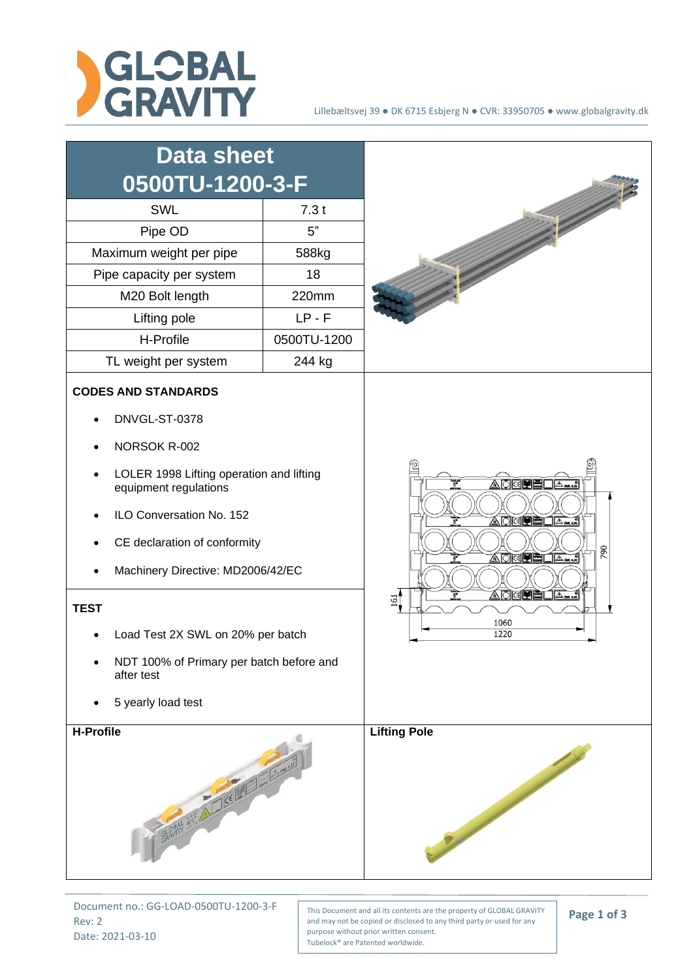



Document no.: GG-LOAD-0500TU-1200-3-F Rev: 2 Date: 2021-03-10

This Document and all its contents are the property of GLOBAL GRAVITY and may not be copied or disclosed to any third party or used for any purpose without prior written consent. Tubelock® are Patented worldwide.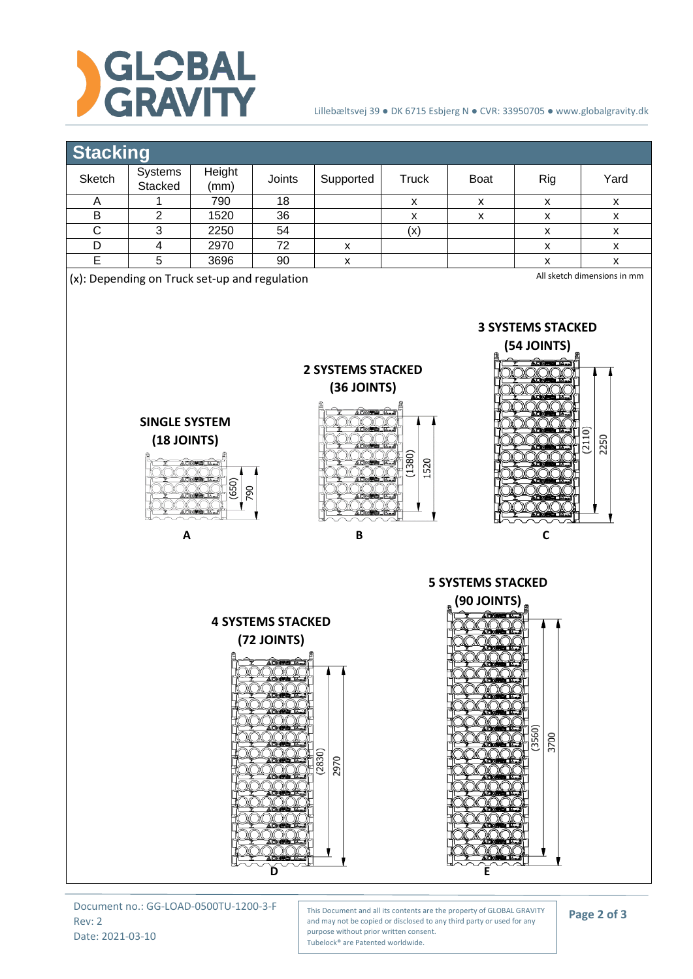

## Lillebæltsvej 39 ● DK 6715 Esbjerg N ● CVR: 33950705 ● www.globalgravity.dk

## **Stacking**

| Sketch | Systems<br>Stacked | Height<br>(mm) | Joints | Supported | Truck | <b>Boat</b> | Rig | Yard |
|--------|--------------------|----------------|--------|-----------|-------|-------------|-----|------|
|        |                    | 790            | 18     |           | x     |             |     |      |
| B      |                    | 1520           | 36     |           | х     |             | ́   | ᄉ    |
|        |                    | 2250           | 54     |           | (x)   |             |     | ⋏    |
|        |                    | 2970           | 72     | v<br>⋏    |       |             |     |      |
|        |                    | 3696           | 90     | Λ         |       |             |     |      |
|        |                    |                |        |           |       |             |     |      |

(x): Depending on Truck set-up and regulation

All sketch dimensions in mm



This Document and all its contents are the property of GLOBAL GRAVITY and may not be copied or disclosed to any third party or used for any purpose without prior written consent. Tubelock® are Patented worldwide.

**D** E

## **Page 2 of 3**